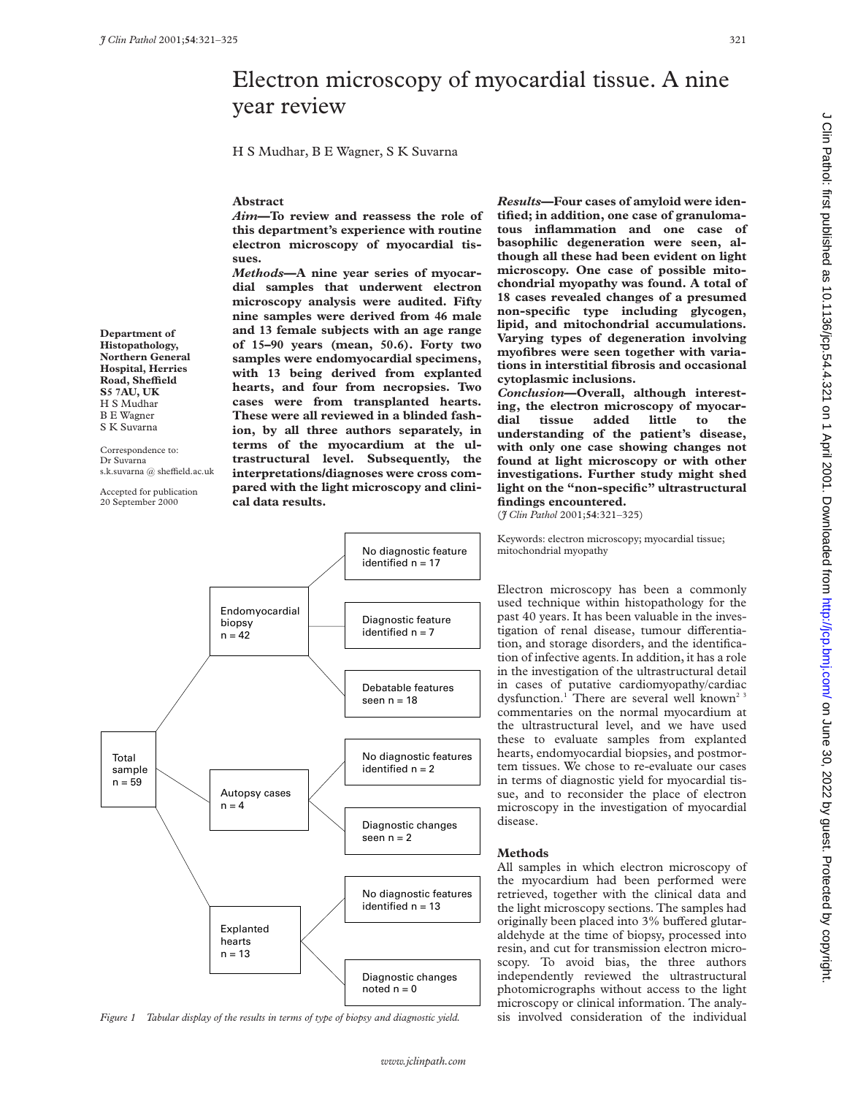# Electron microscopy of myocardial tissue. A nine year review

H S Mudhar, B E Wagner, S K Suvarna

#### **Abstract**

*Aim***—To review and reassess the role of this department's experience with routine electron microscopy of myocardial tissues.**

*Methods***—A nine year series of myocardial samples that underwent electron microscopy analysis were audited. Fifty nine samples were derived from 46 male and 13 female subjects with an age range of 15–90 years (mean, 50.6). Forty two samples were endomyocardial specimens, with 13 being derived from explanted hearts, and four from necropsies. Two cases were from transplanted hearts. These were all reviewed in a blinded fashion, by all three authors separately, in terms of the myocardium at the ultrastructural level. Subsequently, the interpretations/diagnoses were cross compared with the light microscopy and clinical data results.**

*Results***—Four cases of amyloid were identified; in addition, one case of granulomatous inflammation and one case of basophilic degeneration were seen, although all these had been evident on light microscopy. One case of possible mitochondrial myopathy was found. A total of 18 cases revealed changes of a presumed non-specific type including glycogen, lipid, and mitochondrial accumulations. Varying types of degeneration involving myofibres were seen together with variations in interstitial fibrosis and occasional cytoplasmic inclusions.**

*Conclusion***—Overall, although interesting, the electron microscopy of myocardial tissue added little to the understanding of the patient's disease, with only one case showing changes not found at light microscopy or with other investigations. Further study might shed light on the "non-specific" ultrastructural findings encountered.**

(*J Clin Pathol* 2001;**54**:321–325)

Keywords: electron microscopy; myocardial tissue; mitochondrial myopathy

Electron microscopy has been a commonly used technique within histopathology for the past 40 years. It has been valuable in the investigation of renal disease, tumour differentiation, and storage disorders, and the identification of infective agents. In addition, it has a role in the investigation of the ultrastructural detail in cases of putative cardiomyopathy/cardiac dysfunction.<sup>1</sup> There are several well known<sup>23</sup> commentaries on the normal myocardium at the ultrastructural level, and we have used these to evaluate samples from explanted hearts, endomyocardial biopsies, and postmortem tissues. We chose to re-evaluate our cases in terms of diagnostic yield for myocardial tissue, and to reconsider the place of electron microscopy in the investigation of myocardial disease.

### **Methods**

All samples in which electron microscopy of the myocardium had been performed were retrieved, together with the clinical data and the light microscopy sections. The samples had originally been placed into 3% buffered glutaraldehyde at the time of biopsy, processed into resin, and cut for transmission electron microscopy. To avoid bias, the three authors independently reviewed the ultrastructural photomicrographs without access to the light microscopy or clinical information. The analy-

**Department of Histopathology, Northern General Hospital, Herries Road, SheYeld S5 7AU, UK** H S Mudhar B E Wagner S K Suvarna

Correspondence to: Dr Suvarna s.k.suvarna @ sheffield.ac.uk

Accepted for publication

20 September 2000



*Figure 1 Tabular display of the results in terms of type of biopsy and diagnostic yield.* sis involved consideration of the individual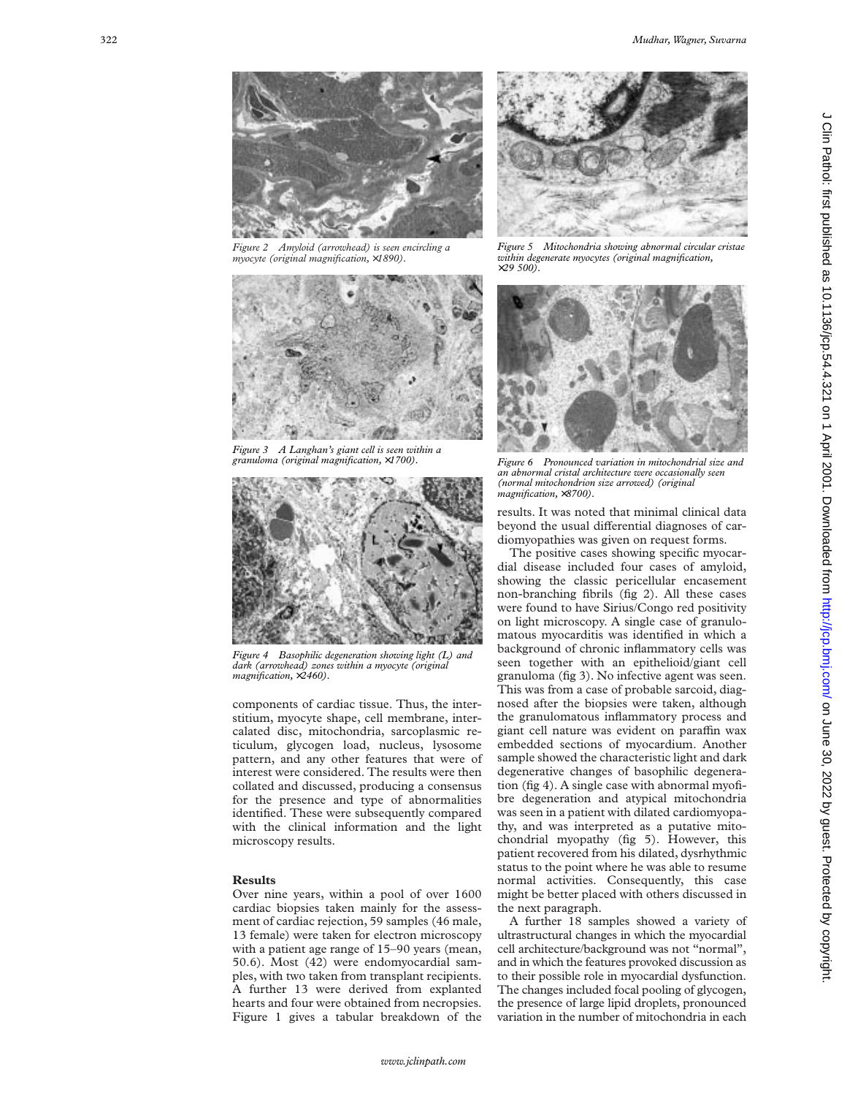

*Figure 2 Amyloid (arrowhead) is seen encircling a myocyte (original magnification,* ×*1890).*



*Figure 3 A Langhan's giant cell is seen within a granuloma (original magnification,* ×*1700).*



*Figure 4 Basophilic degeneration showing light (L) and dark (arrowhead) zones within a myocyte (original magnification,* ×*2460).*

components of cardiac tissue. Thus, the interstitium, myocyte shape, cell membrane, intercalated disc, mitochondria, sarcoplasmic reticulum, glycogen load, nucleus, lysosome pattern, and any other features that were of interest were considered. The results were then collated and discussed, producing a consensus for the presence and type of abnormalities identified. These were subsequently compared with the clinical information and the light microscopy results.

#### **Results**

Over nine years, within a pool of over 1600 cardiac biopsies taken mainly for the assessment of cardiac rejection, 59 samples (46 male, 13 female) were taken for electron microscopy with a patient age range of 15–90 years (mean, 50.6). Most (42) were endomyocardial samples, with two taken from transplant recipients. A further 13 were derived from explanted hearts and four were obtained from necropsies. Figure 1 gives a tabular breakdown of the



*Figure 5 Mitochondria showing abnormal circular cristae within degenerate myocytes (original magnification,* <sup>×</sup>*29 500).*



*Figure 6 Pronounced variation in mitochondrial size and an abnormal cristal architecture were occasionally seen (normal mitochondrion size arrowed) (original magnification,* ×*8700).*

results. It was noted that minimal clinical data beyond the usual differential diagnoses of cardiomyopathies was given on request forms.

The positive cases showing specific myocardial disease included four cases of amyloid, showing the classic pericellular encasement non-branching fibrils (fig 2). All these cases were found to have Sirius/Congo red positivity on light microscopy. A single case of granulomatous myocarditis was identified in which a background of chronic inflammatory cells was seen together with an epithelioid/giant cell granuloma (fig 3). No infective agent was seen. This was from a case of probable sarcoid, diagnosed after the biopsies were taken, although the granulomatous inflammatory process and giant cell nature was evident on paraffin wax embedded sections of myocardium. Another sample showed the characteristic light and dark degenerative changes of basophilic degeneration (fig 4). A single case with abnormal myofibre degeneration and atypical mitochondria was seen in a patient with dilated cardiomyopathy, and was interpreted as a putative mitochondrial myopathy (fig 5). However, this patient recovered from his dilated, dysrhythmic status to the point where he was able to resume normal activities. Consequently, this case might be better placed with others discussed in the next paragraph.

A further 18 samples showed a variety of ultrastructural changes in which the myocardial cell architecture/background was not "normal", and in which the features provoked discussion as to their possible role in myocardial dysfunction. The changes included focal pooling of glycogen, the presence of large lipid droplets, pronounced variation in the number of mitochondria in each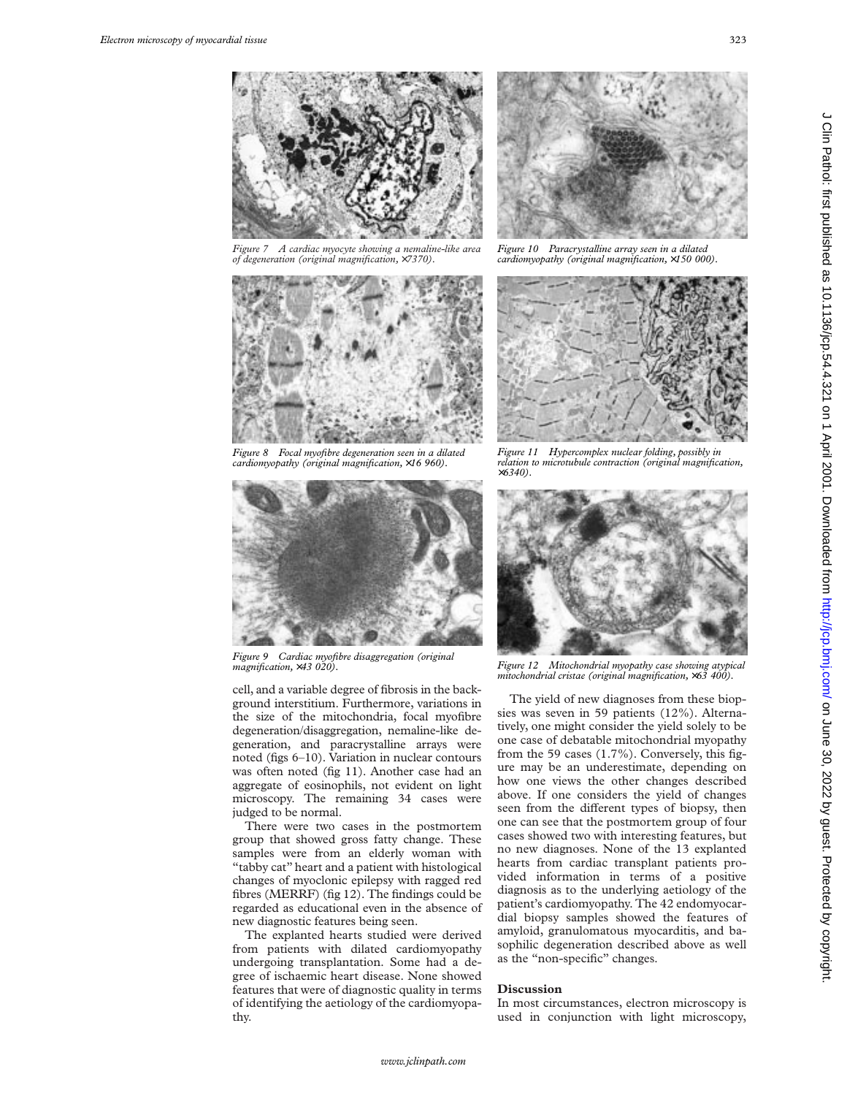*Figure 7 A cardiac myocyte showing a nemaline-like area of degeneration (original magnification,* ×*7370).*



*Figure 8 Focal myofibre degeneration seen in a dilated cardiomyopathy (original magnification,* ×*16 960).*



*Figure 9 Cardiac myofibre disaggregation (original magnification,* ×*43 020).*

cell, and a variable degree of fibrosis in the background interstitium. Furthermore, variations in the size of the mitochondria, focal myofibre degeneration/disaggregation, nemaline-like degeneration, and paracrystalline arrays were noted (figs 6–10). Variation in nuclear contours was often noted (fig 11). Another case had an aggregate of eosinophils, not evident on light microscopy. The remaining 34 cases were judged to be normal.

There were two cases in the postmortem group that showed gross fatty change. These samples were from an elderly woman with "tabby cat" heart and a patient with histological changes of myoclonic epilepsy with ragged red fibres (MERRF) (fig 12). The findings could be regarded as educational even in the absence of new diagnostic features being seen.

The explanted hearts studied were derived from patients with dilated cardiomyopathy undergoing transplantation. Some had a degree of ischaemic heart disease. None showed features that were of diagnostic quality in terms of identifying the aetiology of the cardiomyopathy.



*Figure 10 Paracrystalline array seen in a dilated cardiomyopathy (original magnification,* ×*150 000).*



*Figure 11 Hypercomplex nuclear folding, possibly in relation to microtubule contraction (original magnification,* ×*6340).*



*Figure 12 Mitochondrial myopathy case showing atypical mitochondrial cristae (original magnification,* ×*63 400).*

The yield of new diagnoses from these biopsies was seven in 59 patients (12%). Alternatively, one might consider the yield solely to be one case of debatable mitochondrial myopathy from the 59 cases (1.7%). Conversely, this figure may be an underestimate, depending on how one views the other changes described above. If one considers the yield of changes seen from the different types of biopsy, then one can see that the postmortem group of four cases showed two with interesting features, but no new diagnoses. None of the 13 explanted hearts from cardiac transplant patients provided information in terms of a positive diagnosis as to the underlying aetiology of the patient's cardiomyopathy. The 42 endomyocardial biopsy samples showed the features of amyloid, granulomatous myocarditis, and basophilic degeneration described above as well as the "non-specific" changes.

## **Discussion**

In most circumstances, electron microscopy is used in conjunction with light microscopy,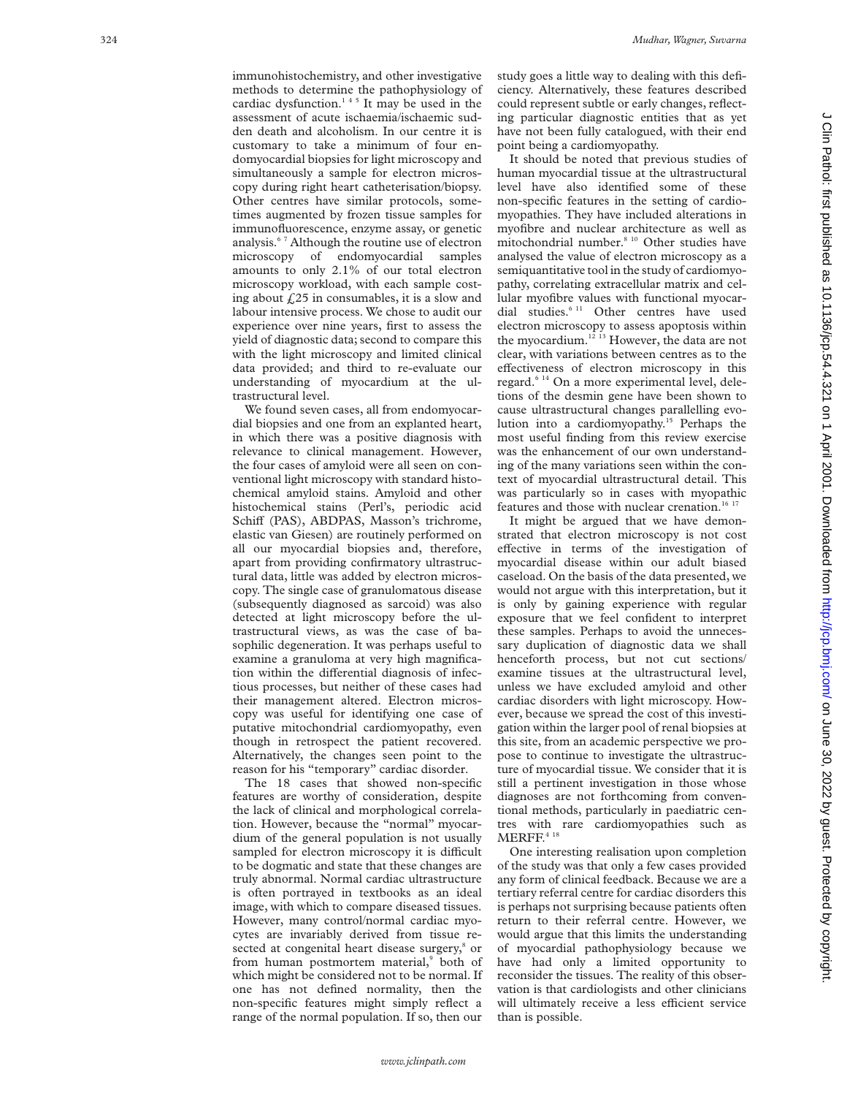immunohistochemistry, and other investigative methods to determine the pathophysiology of cardiac dysfunction. $145$  It may be used in the assessment of acute ischaemia/ischaemic sudden death and alcoholism. In our centre it is customary to take a minimum of four endomyocardial biopsies for light microscopy and simultaneously a sample for electron microscopy during right heart catheterisation/biopsy. Other centres have similar protocols, sometimes augmented by frozen tissue samples for immunofluorescence, enzyme assay, or genetic analysis.6 7 Although the routine use of electron microscopy of endomyocardial samples amounts to only 2.1% of our total electron microscopy workload, with each sample costing about  $f<sub>i</sub>25$  in consumables, it is a slow and labour intensive process. We chose to audit our experience over nine years, first to assess the yield of diagnostic data; second to compare this with the light microscopy and limited clinical data provided; and third to re-evaluate our understanding of myocardium at the ultrastructural level.

We found seven cases, all from endomyocardial biopsies and one from an explanted heart, in which there was a positive diagnosis with relevance to clinical management. However, the four cases of amyloid were all seen on conventional light microscopy with standard histochemical amyloid stains. Amyloid and other histochemical stains (Perl's, periodic acid Schiff (PAS), ABDPAS, Masson's trichrome, elastic van Giesen) are routinely performed on all our myocardial biopsies and, therefore, apart from providing confirmatory ultrastructural data, little was added by electron microscopy. The single case of granulomatous disease (subsequently diagnosed as sarcoid) was also detected at light microscopy before the ultrastructural views, as was the case of basophilic degeneration. It was perhaps useful to examine a granuloma at very high magnification within the differential diagnosis of infectious processes, but neither of these cases had their management altered. Electron microscopy was useful for identifying one case of putative mitochondrial cardiomyopathy, even though in retrospect the patient recovered. Alternatively, the changes seen point to the reason for his "temporary" cardiac disorder.

The 18 cases that showed non-specific features are worthy of consideration, despite the lack of clinical and morphological correlation. However, because the "normal" myocardium of the general population is not usually sampled for electron microscopy it is difficult to be dogmatic and state that these changes are truly abnormal. Normal cardiac ultrastructure is often portrayed in textbooks as an ideal image, with which to compare diseased tissues. However, many control/normal cardiac myocytes are invariably derived from tissue resected at congenital heart disease surgery,<sup>8</sup> or from human postmortem material, <sup>9</sup> both of which might be considered not to be normal. If one has not defined normality, then the non-specific features might simply reflect a range of the normal population. If so, then our

study goes a little way to dealing with this deficiency. Alternatively, these features described could represent subtle or early changes, reflecting particular diagnostic entities that as yet have not been fully catalogued, with their end point being a cardiomyopathy.

It should be noted that previous studies of human myocardial tissue at the ultrastructural level have also identified some of these non-specific features in the setting of cardiomyopathies. They have included alterations in myofibre and nuclear architecture as well as mitochondrial number.<sup>8 10</sup> Other studies have analysed the value of electron microscopy as a semiquantitative tool in the study of cardiomyopathy, correlating extracellular matrix and cellular myofibre values with functional myocardial studies.<sup>6 11</sup> Other centres have used electron microscopy to assess apoptosis within the myocardium.<sup>12 13</sup> However, the data are not clear, with variations between centres as to the effectiveness of electron microscopy in this regard.6 14 On a more experimental level, deletions of the desmin gene have been shown to cause ultrastructural changes parallelling evolution into a cardiomyopathy.<sup>15</sup> Perhaps the most useful finding from this review exercise was the enhancement of our own understanding of the many variations seen within the context of myocardial ultrastructural detail. This was particularly so in cases with myopathic features and those with nuclear crenation.<sup>16 17</sup>

It might be argued that we have demonstrated that electron microscopy is not cost effective in terms of the investigation of myocardial disease within our adult biased caseload. On the basis of the data presented, we would not argue with this interpretation, but it is only by gaining experience with regular exposure that we feel confident to interpret these samples. Perhaps to avoid the unnecessary duplication of diagnostic data we shall henceforth process, but not cut sections/ examine tissues at the ultrastructural level, unless we have excluded amyloid and other cardiac disorders with light microscopy. However, because we spread the cost of this investigation within the larger pool of renal biopsies at this site, from an academic perspective we propose to continue to investigate the ultrastructure of myocardial tissue. We consider that it is still a pertinent investigation in those whose diagnoses are not forthcoming from conventional methods, particularly in paediatric centres with rare cardiomyopathies such as  $\text{MERFF.}^{\text{4-18}}$ 

One interesting realisation upon completion of the study was that only a few cases provided any form of clinical feedback. Because we are a tertiary referral centre for cardiac disorders this is perhaps not surprising because patients often return to their referral centre. However, we would argue that this limits the understanding of myocardial pathophysiology because we have had only a limited opportunity to reconsider the tissues. The reality of this observation is that cardiologists and other clinicians will ultimately receive a less efficient service than is possible.